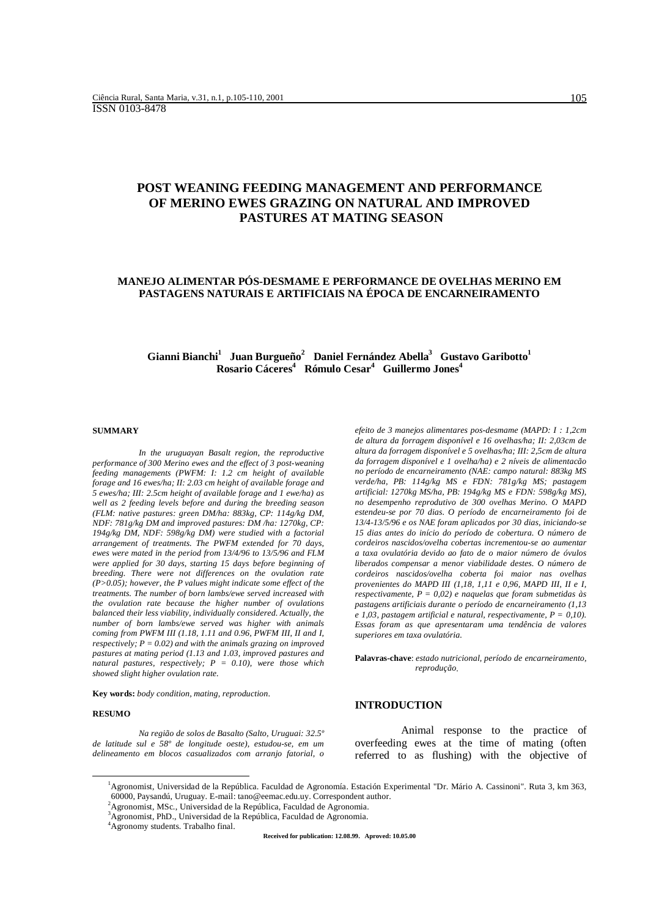# **POST WEANING FEEDING MANAGEMENT AND PERFORMANCE OF MERINO EWES GRAZING ON NATURAL AND IMPROVED PASTURES AT MATING SEASON**

# **MANEJO ALIMENTAR PÓS-DESMAME E PERFORMANCE DE OVELHAS MERINO EM PASTAGENS NATURAIS E ARTIFICIAIS NA ÉPOCA DE ENCARNEIRAMENTO**

# $G$ ianni Bianchi<sup>1</sup> Juan Burgueño<sup>2</sup> Daniel Fernández Abella<sup>3</sup> Gustavo Garibotto<sup>1</sup> **Rosario Cáceres4 Rómulo Cesar<sup>4</sup> Guillermo Jones4**

#### **SUMMARY**

*In the uruguayan Basalt region, the reproductive performance of 300 Merino ewes and the effect of 3 post-weaning feeding managements (PWFM: I: 1.2 cm height of available forage and 16 ewes/ha; II: 2.03 cm height of available forage and 5 ewes/ha; III: 2.5cm height of available forage and 1 ewe/ha) as well as 2 feeding levels before and during the breeding season (FLM: native pastures: green DM/ha: 883kg, CP: 114g/kg DM, NDF: 781g/kg DM and improved pastures: DM /ha: 1270kg, CP: 194g/kg DM, NDF: 598g/kg DM) were studied with a factorial arrangement of treatments. The PWFM extended for 70 days, ewes were mated in the period from 13/4/96 to 13/5/96 and FLM were applied for 30 days, starting 15 days before beginning of breeding. There were not differences on the ovulation rate (P>0.05); however, the P values might indicate some effect of the treatments. The number of born lambs/ewe served increased with the ovulation rate because the higher number of ovulations balanced their less viability, individually considered. Actually, the number of born lambs/ewe served was higher with animals coming from PWFM III (1.18, 1.11 and 0.96, PWFM III, II and I, respectively; P = 0.02) and with the animals grazing on improved pastures at mating period (1.13 and 1.03, improved pastures and natural pastures, respectively; P = 0.10), were those which showed slight higher ovulation rate.*

**Key words:** *body condition, mating, reproduction*.

#### **RESUMO**

*Na região de solos de Basalto (Salto, Uruguai: 32.5º de latitude sul e 58º de longitude oeste), estudou-se, em um delineamento em blocos casualizados com arranjo fatorial, o* *efeito de 3 manejos alimentares pos-desmame (MAPD: I : 1,2cm de altura da forragem disponível e 16 ovelhas/ha; II: 2,03cm de altura da forragem disponível e 5 ovelhas/ha; III: 2,5cm de altura da forragem disponível e 1 ovelha/ha) e 2 níveis de alimentacão no período de encarneiramento (NAE: campo natural: 883kg MS verde/ha, PB: 114g/kg MS e FDN: 781g/kg MS; pastagem artificial: 1270kg MS/ha, PB: 194g/kg MS e FDN: 598g/kg MS), no desempenho reprodutivo de 300 ovelhas Merino. O MAPD estendeu-se por 70 dias. O período de encarneiramento foi de 13/4-13/5/96 e os NAE foram aplicados por 30 dias, iniciando-se 15 dias antes do início do período de cobertura. O número de cordeiros nascidos/ovelha cobertas incrementou-se ao aumentar a taxa ovulatória devido ao fato de o maior número de óvulos liberados compensar a menor viabilidade destes. O número de cordeiros nascidos/ovelha coberta foi maior nas ovelhas provenientes do MAPD III (1,18, 1,11 e 0,96, MAPD III, II e I, respectivamente, P = 0,02) e naquelas que foram submetidas às pastagens artificiais durante o período de encarneiramento (1,13 e 1,03, pastagem artificial e natural, respectivamente, P = 0,10). Essas foram as que apresentaram uma tendência de valores superiores em taxa ovulatória.*

**Palavras-chave**: *estado nutricional, período de encarneiramento, reprodução*.

#### **INTRODUCTION**

Animal response to the practice of overfeeding ewes at the time of mating (often referred to as flushing) with the objective of

 $\overline{\phantom{a}}$ Agronomist, Universidad de la República. Faculdad de Agronomía. Estación Experimental "Dr. Mário A. Cassinoni". Ruta 3, km 363, 60000, Paysandú, Uruguay. E-mail: tano@eemac.edu.uy. Correspondent author.

<sup>&</sup>lt;sup>2</sup>Agronomist, MSc., Universidad de la República, Faculdad de Agronomia.

<sup>3</sup> Agronomist, PhD., Universidad de la República, Faculdad de Agronomia.

<sup>4</sup> Agronomy students. Trabalho final.

**Received for publication: 12.08.99. Aproved: 10.05.00**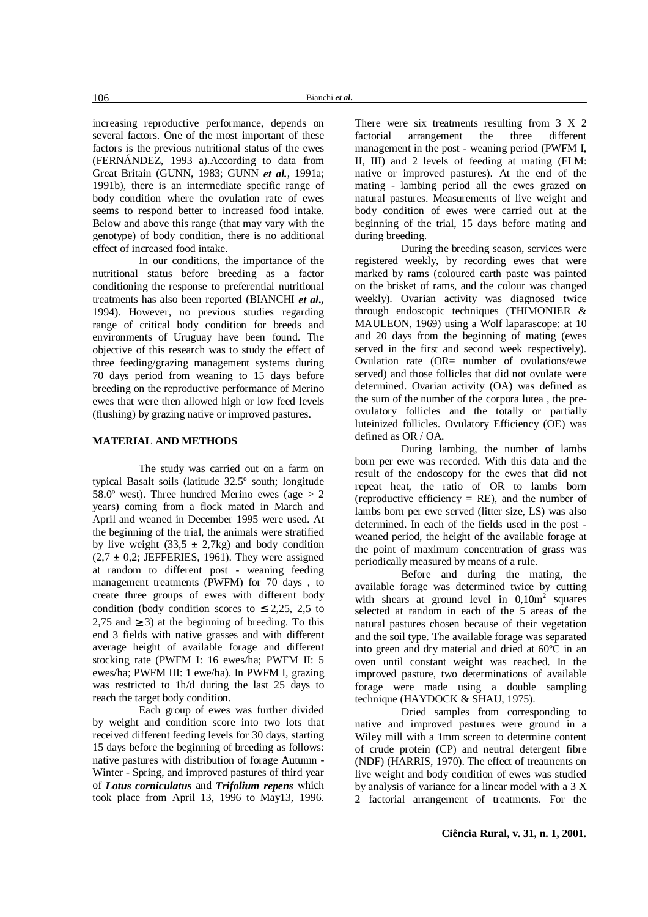increasing reproductive performance, depends on several factors. One of the most important of these factors is the previous nutritional status of the ewes (FERNÁNDEZ, 1993 a).According to data from Great Britain (GUNN, 1983; GUNN *et al.*, 1991a; 1991b), there is an intermediate specific range of body condition where the ovulation rate of ewes seems to respond better to increased food intake. Below and above this range (that may vary with the genotype) of body condition, there is no additional effect of increased food intake.

In our conditions, the importance of the nutritional status before breeding as a factor conditioning the response to preferential nutritional treatments has also been reported (BIANCHI *et al***.,** 1994). However, no previous studies regarding range of critical body condition for breeds and environments of Uruguay have been found. The objective of this research was to study the effect of three feeding/grazing management systems during 70 days period from weaning to 15 days before breeding on the reproductive performance of Merino ewes that were then allowed high or low feed levels (flushing) by grazing native or improved pastures.

## **MATERIAL AND METHODS**

The study was carried out on a farm on typical Basalt soils (latitude 32.5º south; longitude 58.0 $^{\circ}$  west). Three hundred Merino ewes (age  $> 2$ years) coming from a flock mated in March and April and weaned in December 1995 were used. At the beginning of the trial, the animals were stratified by live weight (33,5  $\pm$  2,7kg) and body condition  $(2.7 \pm 0.2; \overline{JEFFERIES}, 1961)$ . They were assigned at random to different post - weaning feeding management treatments (PWFM) for 70 days , to create three groups of ewes with different body condition (body condition scores to  $\leq$  2,25, 2,5 to 2,75 and  $\geq$  3) at the beginning of breeding. To this end 3 fields with native grasses and with different average height of available forage and different stocking rate (PWFM I: 16 ewes/ha; PWFM II: 5 ewes/ha; PWFM III: 1 ewe/ha). In PWFM I, grazing was restricted to 1h/d during the last 25 days to reach the target body condition.

Each group of ewes was further divided by weight and condition score into two lots that received different feeding levels for 30 days, starting 15 days before the beginning of breeding as follows: native pastures with distribution of forage Autumn - Winter - Spring, and improved pastures of third year of *Lotus corniculatus* and *Trifolium repens* which took place from April 13, 1996 to May13, 1996.

There were six treatments resulting from 3 X 2<br>factorial arrangement the three different factorial arrangement the three different management in the post - weaning period (PWFM I, II, III) and 2 levels of feeding at mating (FLM: native or improved pastures). At the end of the mating - lambing period all the ewes grazed on natural pastures. Measurements of live weight and body condition of ewes were carried out at the beginning of the trial, 15 days before mating and during breeding.

During the breeding season, services were registered weekly, by recording ewes that were marked by rams (coloured earth paste was painted on the brisket of rams, and the colour was changed weekly). Ovarian activity was diagnosed twice through endoscopic techniques (THIMONIER & MAULEON, 1969) using a Wolf laparascope: at 10 and 20 days from the beginning of mating (ewes served in the first and second week respectively). Ovulation rate (OR= number of ovulations/ewe served) and those follicles that did not ovulate were determined. Ovarian activity (OA) was defined as the sum of the number of the corpora lutea , the preovulatory follicles and the totally or partially luteinized follicles. Ovulatory Efficiency (OE) was defined as OR / OA.

During lambing, the number of lambs born per ewe was recorded. With this data and the result of the endoscopy for the ewes that did not repeat heat, the ratio of OR to lambs born (reproductive efficiency  $= RE$ ), and the number of lambs born per ewe served (litter size, LS) was also determined. In each of the fields used in the post weaned period, the height of the available forage at the point of maximum concentration of grass was periodically measured by means of a rule.

Before and during the mating, the available forage was determined twice by cutting with shears at ground level in  $0,10m^2$  squares selected at random in each of the 5 areas of the natural pastures chosen because of their vegetation and the soil type. The available forage was separated into green and dry material and dried at 60ºC in an oven until constant weight was reached. In the improved pasture, two determinations of available forage were made using a double sampling technique (HAYDOCK & SHAU, 1975).

Dried samples from corresponding to native and improved pastures were ground in a Wiley mill with a 1mm screen to determine content of crude protein (CP) and neutral detergent fibre (NDF) (HARRIS, 1970). The effect of treatments on live weight and body condition of ewes was studied by analysis of variance for a linear model with a 3 X 2 factorial arrangement of treatments. For the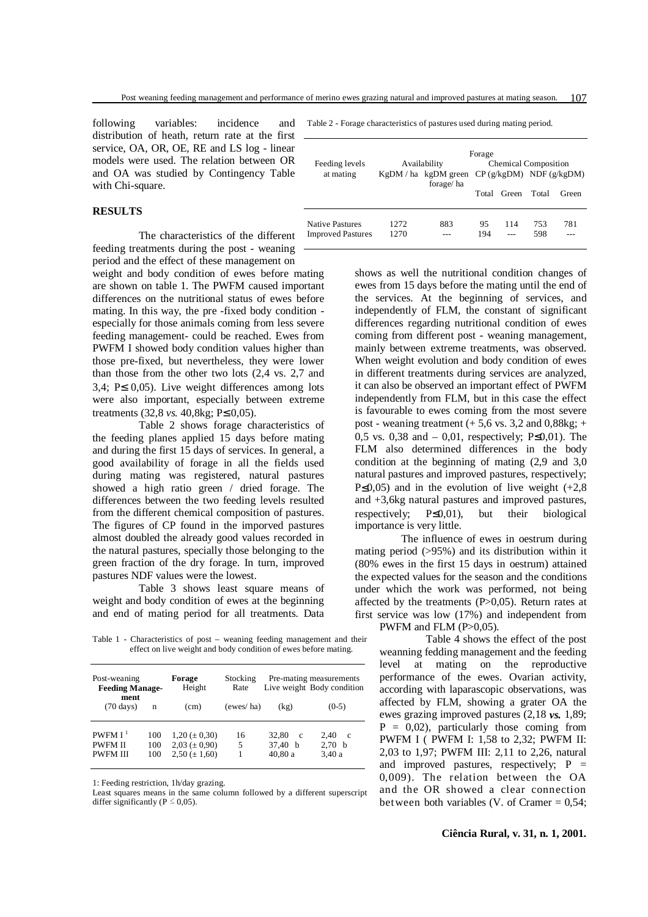following variables: incidence distribution of heath, return rate at the first service, OA, OR, OE, RE and LS log - linear models were used. The relation between OR and OA was studied by Contingency Table with Chi-square.

# **RESULTS**

The characteristics of the different feeding treatments during the post - weaning period and the effect of these management on

weight and body condition of ewes before mating are shown on table 1. The PWFM caused important differences on the nutritional status of ewes before mating. In this way, the pre -fixed body condition especially for those animals coming from less severe feeding management- could be reached. Ewes from PWFM I showed body condition values higher than those pre-fixed, but nevertheless, they were lower than those from the other two lots (2,4 vs. 2,7 and 3,4; P≤ 0,05). Live weight differences among lots were also important, especially between extreme treatments (32,8 *vs.* 40,8kg; P≤ 0,05).

Table 2 shows forage characteristics of the feeding planes applied 15 days before mating and during the first 15 days of services. In general, a good availability of forage in all the fields used during mating was registered, natural pastures showed a high ratio green / dried forage. The differences between the two feeding levels resulted from the different chemical composition of pastures. The figures of CP found in the imporved pastures almost doubled the already good values recorded in the natural pastures, specially those belonging to the green fraction of the dry forage. In turn, improved pastures NDF values were the lowest.

Table 3 shows least square means of weight and body condition of ewes at the beginning and end of mating period for all treatments. Data

Table 1 - Characteristics of post – weaning feeding management and their effect on live weight and body condition of ewes before mating.

| Post-weaning<br><b>Feeding Manage-</b><br>ment         |                   | Forage<br>Height                                                  | Stocking<br>Rate | Pre-mating measurements<br>Live weight Body condition |                                          |  |
|--------------------------------------------------------|-------------------|-------------------------------------------------------------------|------------------|-------------------------------------------------------|------------------------------------------|--|
| $(70 \text{ days})$                                    | n                 | (cm)                                                              | (ewes/ha)        | (kg)                                                  | $(0-5)$                                  |  |
| PWFMI <sup>1</sup><br><b>PWFMII</b><br><b>PWFM III</b> | 100<br>100<br>100 | $1,20 \ (\pm 0,30)$<br>$2,03 \ (\pm 0,90)$<br>$2,50 \ (\pm 1,60)$ | 16<br>5          | 32.80<br>$\mathbf{c}$<br>37.40 b<br>40,80 a           | 2.40<br><sub>c</sub><br>2,70 b<br>3,40 a |  |

1: Feeding restriction, 1h/day grazing.

Least squares means in the same column followed by a different superscript differ significantly ( $P \le 0.05$ ).

Table 2 - Forage characteristics of pastures used during mating period.

|                          | Forage                 |                             |     |             |                            |       |
|--------------------------|------------------------|-----------------------------|-----|-------------|----------------------------|-------|
| Feeding levels           | Availability           | <b>Chemical Composition</b> |     |             |                            |       |
| at mating                | $KgDM / ha$ kgDM green |                             |     |             | $CP$ (g/kgDM) NDF (g/kgDM) |       |
|                          |                        | forage/ha                   |     |             |                            |       |
|                          |                        |                             |     | Total Green | Total                      | Green |
|                          |                        |                             |     |             |                            |       |
|                          |                        |                             |     |             |                            |       |
| <b>Native Pastures</b>   | 12.72                  | 883                         | 95  | 114         | 753                        | 781   |
| <b>Improved Pastures</b> | 1270                   |                             | 194 |             | 598                        |       |
|                          |                        |                             |     |             |                            |       |

shows as well the nutritional condition changes of ewes from 15 days before the mating until the end of the services. At the beginning of services, and independently of FLM, the constant of significant differences regarding nutritional condition of ewes coming from different post - weaning management, mainly between extreme treatments, was observed. When weight evolution and body condition of ewes in different treatments during services are analyzed, it can also be observed an important effect of PWFM independently from FLM, but in this case the effect is favourable to ewes coming from the most severe post - weaning treatment  $(+ 5.6 \text{ vs. } 3.2 \text{ and } 0.88 \text{ kg}; +$ 0.5 vs. 0.38 and – 0.01, respectively; P $\leq$ 0.01). The FLM also determined differences in the body condition at the beginning of mating (2,9 and 3,0 natural pastures and improved pastures, respectively; P $\leq$ 0,05) and in the evolution of live weight (+2,8) and +3,6kg natural pastures and improved pastures, respectively;  $P \le 0.01$ ), but their biological importance is very little.

The influence of ewes in oestrum during mating period (>95%) and its distribution within it (80% ewes in the first 15 days in oestrum) attained the expected values for the season and the conditions under which the work was performed, not being affected by the treatments  $(P>0,05)$ . Return rates at first service was low (17%) and independent from PWFM and FLM  $(P>0.05)$ .

Table 4 shows the effect of the post weanning fedding management and the feeding level at mating on the reproductive performance of the ewes. Ovarian activity, according with laparascopic observations, was affected by FLM, showing a grater OA the ewes grazing improved pastures (2,18 *vs.* 1,89;  $P = 0.02$ , particularly those coming from PWFM I ( PWFM I: 1,58 to 2,32; PWFM II: 2,03 to 1,97; PWFM III: 2,11 to 2,26, natural and improved pastures, respectively;  $P =$ 0,009). The relation between the OA and the OR showed a clear connection between both variables (V. of Cramer  $= 0.54$ ;

#### **Ciência Rural, v. 31, n. 1, 2001.**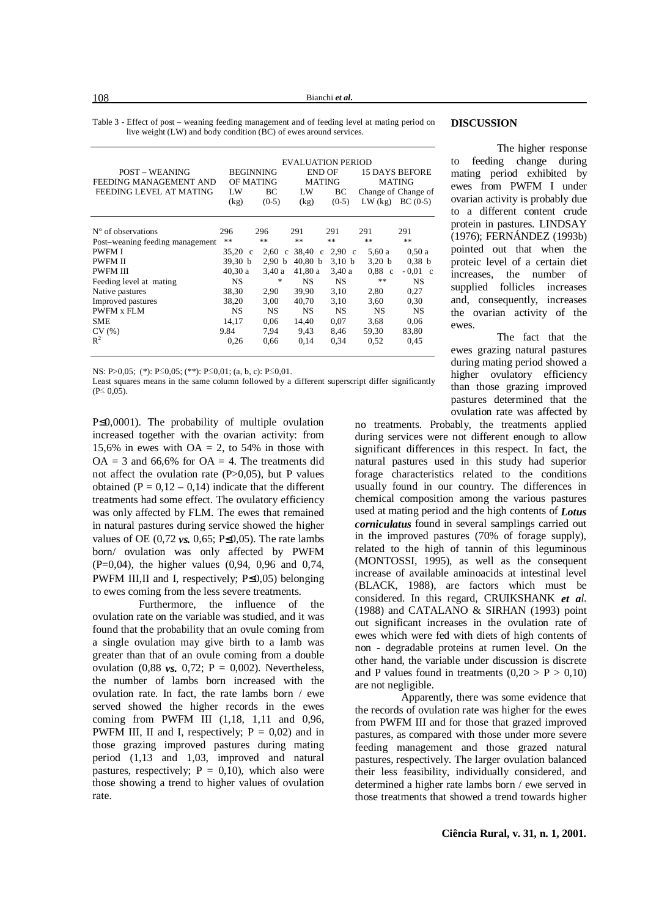Bianchi *et al.*

Table 3 - Effect of post – weaning feeding management and of feeding level at mating period on live weight (LW) and body condition (BC) of ewes around services.

| <b>POST – WEANING</b><br>FEEDING MANAGEMENT AND<br>FEEDING LEVEL AT MATING | <b>BEGINNING</b><br>OF MATING<br>LW<br>(kg) | ВC<br>$(0-5)$        | <b>EVALUATION PERIOD</b><br>END OF<br>MATING<br>LW<br>(kg) | BС<br>$(0-5)$     | <b>MATING</b><br>Change of Change of<br>$LW$ $(kg)$ | <b>15 DAYS BEFORE</b><br>$BC(0-5)$ |
|----------------------------------------------------------------------------|---------------------------------------------|----------------------|------------------------------------------------------------|-------------------|-----------------------------------------------------|------------------------------------|
| $N^{\circ}$ of observations                                                | 296                                         | 296                  | 291                                                        | 291               | 291                                                 | 291                                |
| Post-weaning feeding management                                            | **                                          | **                   | $**$                                                       | **                | $**$                                                | $\ast$ $\ast$                      |
| <b>PWFMI</b>                                                               | $35.20 \text{ c}$                           | 2.60<br>$\mathbf{c}$ | 38.40<br>$\mathbf{c}$                                      | $2,90$ c          | 5.60 a                                              | 0.50a                              |
| <b>PWFM II</b>                                                             | 39.30 <sub>b</sub>                          | 2.90 <sub>b</sub>    | 40.80 <sub>b</sub>                                         | 3.10 <sub>b</sub> | 3,20 b                                              | 0.38 b                             |
| <b>PWFM III</b>                                                            | 40.30 a                                     | 3.40 a               | 41,80 a                                                    | 3,40 a            | 0.88<br>$\mathbf{c}$                                | $-0.01$<br>$\mathbf{c}$            |
| Feeding level at mating                                                    | NS                                          | ÷                    | NS                                                         | NS.               | **                                                  | NS                                 |
| Native pastures                                                            | 38,30                                       | 2,90                 | 39.90                                                      | 3,10              | 2,80                                                | 0,27                               |
| Improved pastures                                                          | 38,20                                       | 3,00                 | 40,70                                                      | 3,10              | 3,60                                                | 0.30                               |
| <b>PWFM x FLM</b>                                                          | <b>NS</b>                                   | <b>NS</b>            | <b>NS</b>                                                  | <b>NS</b>         | <b>NS</b>                                           | <b>NS</b>                          |
| <b>SME</b>                                                                 | 14,17                                       | 0.06                 | 14,40                                                      | 0,07              | 3,68                                                | 0,06                               |
| CV(%)                                                                      | 9.84                                        | 7.94                 | 9.43                                                       | 8,46              | 59.30                                               | 83,80                              |
| $R^2$                                                                      | 0,26                                        | 0.66                 | 0,14                                                       | 0,34              | 0,52                                                | 0,45                               |

NS: P>0,05; (\*): P $\leq$ 0,05; (\*\*): P $\leq$ 0,01; (a, b, c): P $\leq$ 0,01.

Least squares means in the same column followed by a different superscript differ significantly  $(P \le 0.05)$ .

P≤0,0001). The probability of multiple ovulation increased together with the ovarian activity: from 15,6% in ewes with  $OA = 2$ , to 54% in those with  $OA = 3$  and 66.6% for  $OA = 4$ . The treatments did not affect the ovulation rate  $(P>0.05)$ , but P values obtained  $(P = 0.12 - 0.14)$  indicate that the different treatments had some effect. The ovulatory efficiency was only affected by FLM. The ewes that remained in natural pastures during service showed the higher values of OE  $(0.72 \text{ }\nu s, 0.65; \text{ }P \leq 0.05)$ . The rate lambs born/ ovulation was only affected by PWFM (P=0,04), the higher values (0,94, 0,96 and 0,74, PWFM III,II and I, respectively; P≤0,05) belonging to ewes coming from the less severe treatments.

Furthermore, the influence of the ovulation rate on the variable was studied, and it was found that the probability that an ovule coming from a single ovulation may give birth to a lamb was greater than that of an ovule coming from a double ovulation  $(0.88 \text{ }\nu s. \ 0.72; \ P = 0.002)$ . Nevertheless, the number of lambs born increased with the ovulation rate. In fact, the rate lambs born / ewe served showed the higher records in the ewes coming from PWFM III (1,18, 1,11 and 0,96, PWFM III, II and I, respectively;  $P = 0.02$ ) and in those grazing improved pastures during mating period (1,13 and 1,03, improved and natural pastures, respectively;  $P = 0,10$ , which also were those showing a trend to higher values of ovulation rate.

# **DISCUSSION**

The higher response to feeding change during mating period exhibited by ewes from PWFM I under ovarian activity is probably due to a different content crude protein in pastures. LINDSAY (1976); FERNÁNDEZ (1993b) pointed out that when the proteic level of a certain diet increases, the number of supplied follicles increases and, consequently, increases the ovarian activity of the ewes.

The fact that the ewes grazing natural pastures during mating period showed a higher ovulatory efficiency than those grazing improved pastures determined that the ovulation rate was affected by

no treatments. Probably, the treatments applied during services were not different enough to allow significant differences in this respect. In fact, the natural pastures used in this study had superior forage characteristics related to the conditions usually found in our country. The differences in chemical composition among the various pastures used at mating period and the high contents of *Lotus corniculatus* found in several samplings carried out in the improved pastures (70% of forage supply), related to the high of tannin of this leguminous (MONTOSSI, 1995), as well as the consequent increase of available aminoacids at intestinal level (BLACK, 1988), are factors which must be considered. In this regard, CRUIKSHANK *et al*. (1988) and CATALANO & SIRHAN (1993) point out significant increases in the ovulation rate of ewes which were fed with diets of high contents of non - degradable proteins at rumen level. On the other hand, the variable under discussion is discrete and P values found in treatments  $(0,20 > P > 0,10)$ are not negligible.

Apparently, there was some evidence that the records of ovulation rate was higher for the ewes from PWFM III and for those that grazed improved pastures, as compared with those under more severe feeding management and those grazed natural pastures, respectively. The larger ovulation balanced their less feasibility, individually considered, and determined a higher rate lambs born / ewe served in those treatments that showed a trend towards higher

108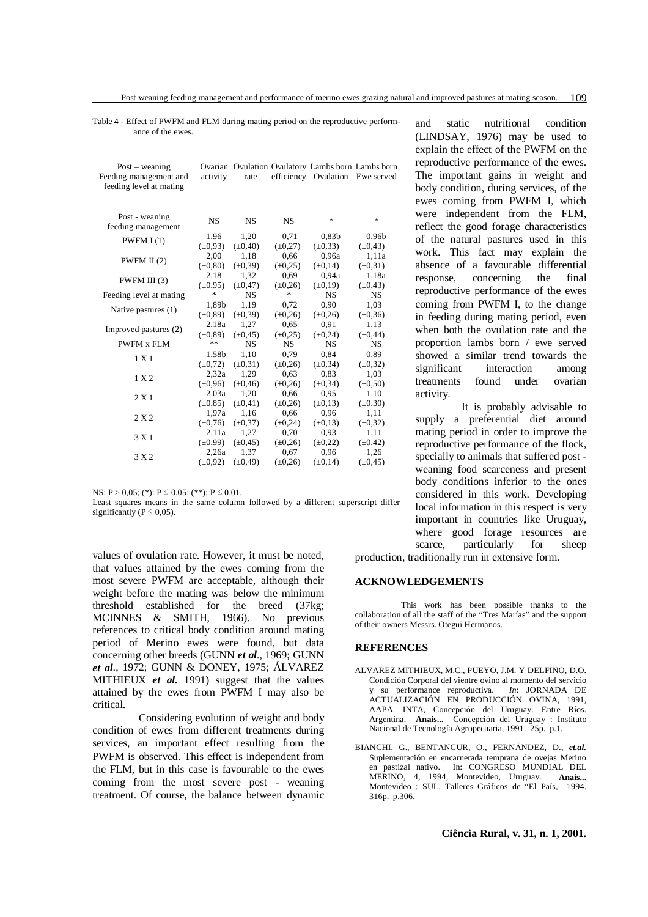Table 4 - Effect of PWFM and FLM during mating period on the reproductive performance of the ewes.

| $Post - wearing$<br>Feeding management and<br>feeding level at mating | activity      | rate         |              | Ovarian Ovulation Ovulatory Lambs born Lambs born<br>efficiency Ovulation Ewe served |                   |
|-----------------------------------------------------------------------|---------------|--------------|--------------|--------------------------------------------------------------------------------------|-------------------|
| Post - weaning<br>feeding management                                  | <b>NS</b>     | <b>NS</b>    | <b>NS</b>    | *                                                                                    | *                 |
| PWFMI(1)                                                              | 1,96          | 1,20         | 0,71         | 0.83 <sub>b</sub>                                                                    | 0.96 <sub>b</sub> |
|                                                                       | $(\pm 0.93)$  | $(\pm 0.40)$ | $(\pm 0.27)$ | $(\pm 0.33)$                                                                         | $(\pm 0.43)$      |
| PWFM II $(2)$                                                         | 2,00          | 1,18         | 0,66         | 0,96a                                                                                | 1,11a             |
|                                                                       | $(\pm 0.80)$  | $(\pm 0.39)$ | $(\pm 0.25)$ | $(\pm 0.14)$                                                                         | $(\pm 0.31)$      |
| PWFM III (3)                                                          | 2,18          | 1,32         | 0.69         | 0,94a                                                                                | 1,18a             |
|                                                                       | $(\pm 0.95)$  | $(\pm 0.47)$ | $(\pm 0.26)$ | $(\pm 0.19)$                                                                         | $(\pm 0.43)$      |
| Feeding level at mating                                               | $\frac{1}{2}$ | <b>NS</b>    | 冰            | <b>NS</b>                                                                            | NS                |
| Native pastures (1)                                                   | 1,89b         | 1,19         | 0,72         | 0.90                                                                                 | 1,03              |
|                                                                       | $(\pm 0.89)$  | $(\pm 0.39)$ | $(\pm 0.26)$ | $(\pm 0.26)$                                                                         | $(\pm 0.36)$      |
| Improved pastures (2)                                                 | 2,18a         | 1,27         | 0.65         | 0.91                                                                                 | 1,13              |
|                                                                       | $(\pm 0.89)$  | $(\pm 0.45)$ | $(\pm 0.25)$ | $(\pm 0.24)$                                                                         | $(\pm 0.44)$      |
| <b>PWFM x FLM</b>                                                     | **            | <b>NS</b>    | <b>NS</b>    | <b>NS</b>                                                                            | <b>NS</b>         |
| 1 X 1                                                                 | 1,58b         | 1,10         | 0,79         | 0.84                                                                                 | 0,89              |
|                                                                       | $(\pm 0.72)$  | $(\pm 0.31)$ | $(\pm 0.26)$ | $(\pm 0.34)$                                                                         | $(\pm 0.32)$      |
| 1 X 2                                                                 | 2,32a         | 1,29         | 0.63         | 0.83                                                                                 | 1,03              |
|                                                                       | $(\pm 0.96)$  | $(\pm 0.46)$ | $(\pm 0.26)$ | $(\pm 0.34)$                                                                         | $(\pm 0.50)$      |
| 2 X 1                                                                 | 2,03a         | 1,20         | 0,66         | 0.95                                                                                 | 1,10              |
|                                                                       | $(\pm 0.85)$  | $(\pm 0.41)$ | $(\pm 0.26)$ | $(\pm 0.13)$                                                                         | $(\pm 0, 30)$     |
| 2 X 2                                                                 | 1,97a         | 1,16         | 0,66         | 0.96                                                                                 | 1,11              |
|                                                                       | $(\pm 0.76)$  | $(\pm 0.37)$ | $(\pm 0.24)$ | $(\pm 0.13)$                                                                         | $(\pm 0.32)$      |
| 3 X1                                                                  | 2.11a         | 1,27         | 0,70         | 0.93                                                                                 | 1,11              |
|                                                                       | $(\pm 0.99)$  | $(\pm 0.45)$ | $(\pm 0.26)$ | $(\pm 0.22)$                                                                         | $(\pm 0.42)$      |
| 3 X 2                                                                 | 2,26a         | 1,37         | 0,67         | 0.96                                                                                 | 1,26              |
|                                                                       | $(\pm 0.92)$  | $(\pm 0.49)$ | $(\pm 0.26)$ | $(\pm 0.14)$                                                                         | $(\pm 0.45)$      |

NS: P > 0,05; (\*): P  $\leq$  0,05; (\*\*): P  $\leq$  0,01.

Least squares means in the same column followed by a different superscript differ significantly ( $P \le 0.05$ ).

values of ovulation rate. However, it must be noted, that values attained by the ewes coming from the most severe PWFM are acceptable, although their weight before the mating was below the minimum threshold established for the breed (37kg; MCINNES & SMITH, 1966). No previous references to critical body condition around mating period of Merino ewes were found, but data concerning other breeds (GUNN *et al.*, 1969; GUNN *et al*., 1972; GUNN & DONEY, 1975; ÁLVAREZ MITHIEUX *et al.* 1991) suggest that the values attained by the ewes from PWFM I may also be critical.

Considering evolution of weight and body condition of ewes from different treatments during services, an important effect resulting from the PWFM is observed. This effect is independent from the FLM, but in this case is favourable to the ewes coming from the most severe post - weaning treatment. Of course, the balance between dynamic

and static nutritional condition (LINDSAY, 1976) may be used to explain the effect of the PWFM on the reproductive performance of the ewes. The important gains in weight and body condition, during services, of the ewes coming from PWFM I, which were independent from the FLM, reflect the good forage characteristics of the natural pastures used in this work. This fact may explain the absence of a favourable differential response, concerning the final reproductive performance of the ewes coming from PWFM I, to the change in feeding during mating period, even when both the ovulation rate and the proportion lambs born / ewe served showed a similar trend towards the significant interaction among treatments found under ovarian activity.

It is probably advisable to supply a preferential diet around mating period in order to improve the reproductive performance of the flock, specially to animals that suffered post weaning food scarceness and present body conditions inferior to the ones considered in this work. Developing local information in this respect is very important in countries like Uruguay, where good forage resources are scarce, particularly for sheep

production, traditionally run in extensive form.

#### **ACKNOWLEDGEMENTS**

This work has been possible thanks to the collaboration of all the staff of the "Tres Marías" and the support of their owners Messrs. Otegui Hermanos.

### **REFERENCES**

- ALVAREZ MITHIEUX, M.C., PUEYO, J.M. Y DELFINO, D.O. Condición Corporal del vientre ovino al momento del servicio y su performance reproductiva. *In*: JORNADA DE ACTUALIZACIÓN EN PRODUCCIÓN OVINA, 1991, AAPA, INTA, Concepción del Uruguay. Entre Ríos. Argentina. **Anais...** Concepción del Uruguay : Instituto Nacional de Tecnología Agropecuaria, 1991. 25p. p.1.
- BIANCHI, G., BENTANCUR, O., FERNÁNDEZ, D., *et.al.* Suplementación en encarnerada temprana de ovejas Merino en pastizal nativo. In: CONGRESO MUNDIAL DEL MERINO, 4, 1994, Montevideo, Uruguay. **Anais...** Montevideo : SUL. Talleres Gráficos de "El País, 1994. 316p. p.306.